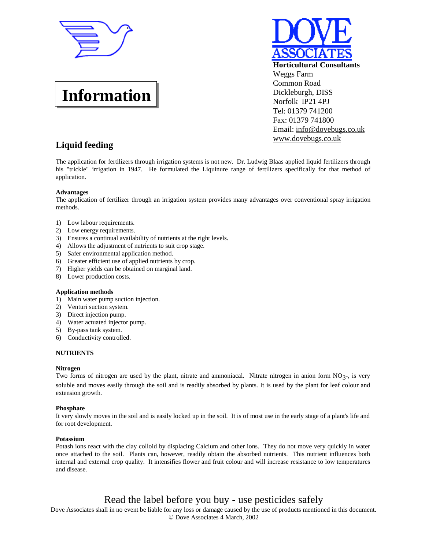

**Information**



# **Liquid feeding**

The application for fertilizers through irrigation systems is not new. Dr. Ludwig Blaas applied liquid fertilizers through his "trickle" irrigation in 1947. He formulated the Liquinure range of fertilizers specifically for that method of application.

### **Advantages**

The application of fertilizer through an irrigation system provides many advantages over conventional spray irrigation methods.

- 1) Low labour requirements.
- 2) Low energy requirements.
- 3) Ensures a continual availability of nutrients at the right levels.
- 4) Allows the adjustment of nutrients to suit crop stage.
- 5) Safer environmental application method.
- 6) Greater efficient use of applied nutrients by crop.
- 7) Higher yields can be obtained on marginal land.
- 8) Lower production costs.

#### **Application methods**

- 1) Main water pump suction injection.
- 2) Venturi suction system.
- 3) Direct injection pump.
- 4) Water actuated injector pump.
- 5) By-pass tank system.
- 6) Conductivity controlled.

#### **NUTRIENTS**

#### **Nitrogen**

Two forms of nitrogen are used by the plant, nitrate and ammoniacal. Nitrate nitrogen in anion form NO<sub>3</sub>-, is very soluble and moves easily through the soil and is readily absorbed by plants. It is used by the plant for leaf colour and extension growth.

#### **Phosphate**

It very slowly moves in the soil and is easily locked up in the soil. It is of most use in the early stage of a plant's life and for root development.

#### **Potassium**

Potash ions react with the clay colloid by displacing Calcium and other ions. They do not move very quickly in water once attached to the soil. Plants can, however, readily obtain the absorbed nutrients. This nutrient influences both internal and external crop quality. It intensifies flower and fruit colour and will increase resistance to low temperatures and disease.

# Read the label before you buy - use pesticides safely

Dove Associates shall in no event be liable for any loss or damage caused by the use of products mentioned in this document. © Dove Associates 4 March, 2002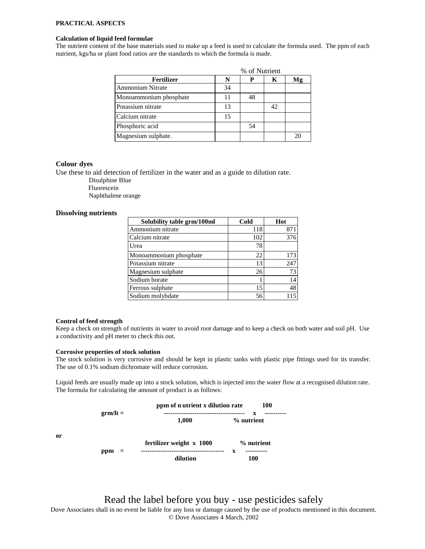## **PRACTICAL ASPECTS**

#### **Calculation of liquid feed formulae**

The nutrient content of the base materials used to make up a feed is used to calculate the formula used. The ppm of each nutrient, kgs/ha or plant food ratios are the standards to which the formula is made.

|                         | % of Nutrient |    |    |    |
|-------------------------|---------------|----|----|----|
| Fertilizer              | N             |    | K  | Mg |
| <b>Ammonium Nitrate</b> | 34            |    |    |    |
| Monoammonium phosphate  | 11            | 48 |    |    |
| Potassium nitrate       | 13            |    | 42 |    |
| Calcium nitrate         | 15            |    |    |    |
| Phosphoric acid         |               | 54 |    |    |
| Magnesium sulphate.     |               |    |    |    |

### **Colour dyes**

Use these to aid detection of fertilizer in the water and as a guide to dilution rate.

Disulphine Blue Fluorescein

Naphthalene orange

### **Dissolving nutrients**

| Solubility table grm/100ml | Cold | Hot |
|----------------------------|------|-----|
| Ammonium nitrate           | 118  | 871 |
| Calcium nitrate            | 102  | 376 |
| Urea                       | 78   |     |
| Monoammonium phosphate     | 22   | 173 |
| Potassium nitrate          | 13   | 247 |
| Magnesium sulphate         | 26   | 73  |
| Sodium borate              |      | 14  |
| Ferrous sulphate           | 15   | 48  |
| Sodium molybdate           | 56   |     |

### **Control of feed strength**

Keep a check on strength of nutrients in water to avoid root damage and to keep a check on both water and soil pH. Use a conductivity and pH meter to check this out.

#### **Corrosive properties of stock solution**

The stock solution is very corrosive and should be kept in plastic tanks with plastic pipe fittings used for its transfer. The use of 0.1% sodium dichromate will reduce corrosion.

Liquid feeds are usually made up into a stock solution, which is injected into the water flow at a recognised dilution rate. The formula for calculating the amount of product is as follows:

|    | $\text{erm/l}t =$ | ppm of n utrient x dilution rate<br><b>100</b><br>---------------------- |                 |  |
|----|-------------------|--------------------------------------------------------------------------|-----------------|--|
|    |                   | 1,000                                                                    | x<br>% nutrient |  |
| or |                   | fertilizer weight x 1000                                                 | % nutrient      |  |
|    | ppm<br>$=$        | --------------                                                           | x               |  |
|    |                   | dilution                                                                 | 100             |  |

**or**

Read the label before you buy - use pesticides safely

Dove Associates shall in no event be liable for any loss or damage caused by the use of products mentioned in this document. © Dove Associates 4 March, 2002